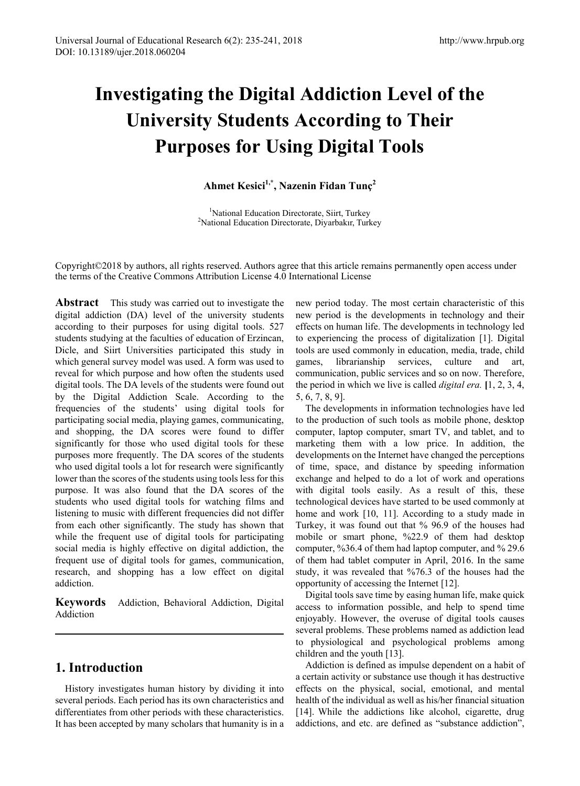# **Investigating the Digital Addiction Level of the University Students According to Their Purposes for Using Digital Tools**

## **Ahmet Kesici1,\*, Nazenin Fidan Tunç2**

<sup>1</sup>National Education Directorate, Siirt, Turkey<br><sup>2</sup>National Education Directorate, Divarbakur, Turk <sup>2</sup>National Education Directorate, Diyarbakır, Turkey

Copyright©2018 by authors, all rights reserved. Authors agree that this article remains permanently open access under the terms of the Creative Commons Attribution License 4.0 International License

**Abstract** This study was carried out to investigate the digital addiction (DA) level of the university students according to their purposes for using digital tools. 527 students studying at the faculties of education of Erzincan, Dicle, and Siirt Universities participated this study in which general survey model was used. A form was used to reveal for which purpose and how often the students used digital tools. The DA levels of the students were found out by the Digital Addiction Scale. According to the frequencies of the students' using digital tools for participating social media, playing games, communicating, and shopping, the DA scores were found to differ significantly for those who used digital tools for these purposes more frequently. The DA scores of the students who used digital tools a lot for research were significantly lower than the scores of the students using tools less for this purpose. It was also found that the DA scores of the students who used digital tools for watching films and listening to music with different frequencies did not differ from each other significantly. The study has shown that while the frequent use of digital tools for participating social media is highly effective on digital addiction, the frequent use of digital tools for games, communication, research, and shopping has a low effect on digital addiction.

**Keywords** Addiction, Behavioral Addiction, Digital Addiction

# **1. Introduction**

History investigates human history by dividing it into several periods. Each period has its own characteristics and differentiates from other periods with these characteristics. It has been accepted by many scholars that humanity is in a

new period today. The most certain characteristic of this new period is the developments in technology and their effects on human life. The developments in technology led to experiencing the process of digitalization [1]. Digital tools are used commonly in education, media, trade, child games, librarianship services, culture and art, communication, public services and so on now. Therefore, the period in which we live is called *digital era.* **[**1, 2, 3, 4, 5, 6, 7, 8, 9].

The developments in information technologies have led to the production of such tools as mobile phone, desktop computer, laptop computer, smart TV, and tablet, and to marketing them with a low price. In addition, the developments on the Internet have changed the perceptions of time, space, and distance by speeding information exchange and helped to do a lot of work and operations with digital tools easily. As a result of this, these technological devices have started to be used commonly at home and work [10, 11]. According to a study made in Turkey, it was found out that % 96.9 of the houses had mobile or smart phone, %22.9 of them had desktop computer, %36.4 of them had laptop computer, and % 29.6 of them had tablet computer in April, 2016. In the same study, it was revealed that %76.3 of the houses had the opportunity of accessing the Internet [12].

Digital tools save time by easing human life, make quick access to information possible, and help to spend time enjoyably. However, the overuse of digital tools causes several problems. These problems named as addiction lead to physiological and psychological problems among children and the youth [13].

Addiction is defined as impulse dependent on a habit of a certain activity or substance use though it has destructive effects on the physical, social, emotional, and mental health of the individual as well as his/her financial situation [14]. While the addictions like alcohol, cigarette, drug addictions, and etc. are defined as "substance addiction",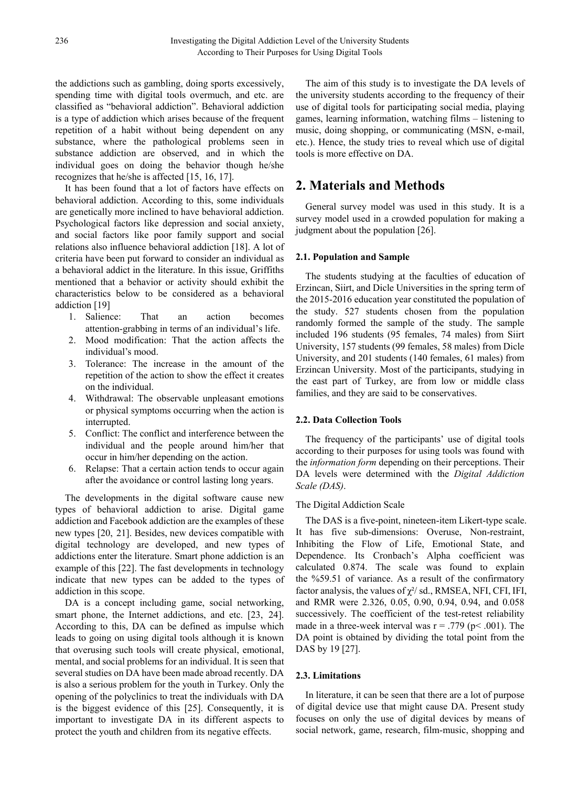the addictions such as gambling, doing sports excessively, spending time with digital tools overmuch, and etc. are classified as "behavioral addiction". Behavioral addiction is a type of addiction which arises because of the frequent repetition of a habit without being dependent on any substance, where the pathological problems seen in substance addiction are observed, and in which the individual goes on doing the behavior though he/she recognizes that he/she is affected [15, 16, 17].

It has been found that a lot of factors have effects on behavioral addiction. According to this, some individuals are genetically more inclined to have behavioral addiction. Psychological factors like depression and social anxiety, and social factors like poor family support and social relations also influence behavioral addiction [18]. A lot of criteria have been put forward to consider an individual as a behavioral addict in the literature. In this issue, Griffiths mentioned that a behavior or activity should exhibit the characteristics below to be considered as a behavioral addiction [19]

- 1. Salience: That an action becomes attention-grabbing in terms of an individual's life.
- 2. Mood modification: That the action affects the individual's mood.
- 3. Tolerance: The increase in the amount of the repetition of the action to show the effect it creates on the individual.
- 4. Withdrawal: The observable unpleasant emotions or physical symptoms occurring when the action is interrupted.
- 5. Conflict: The conflict and interference between the individual and the people around him/her that occur in him/her depending on the action.
- 6. Relapse: That a certain action tends to occur again after the avoidance or control lasting long years.

The developments in the digital software cause new types of behavioral addiction to arise. Digital game addiction and Facebook addiction are the examples of these new types [20, 21]. Besides, new devices compatible with digital technology are developed, and new types of addictions enter the literature. Smart phone addiction is an example of this [22]. The fast developments in technology indicate that new types can be added to the types of addiction in this scope.

DA is a concept including game, social networking, smart phone, the Internet addictions, and etc. [23, 24]. According to this, DA can be defined as impulse which leads to going on using digital tools although it is known that overusing such tools will create physical, emotional, mental, and social problems for an individual. It is seen that several studies on DA have been made abroad recently. DA is also a serious problem for the youth in Turkey. Only the opening of the polyclinics to treat the individuals with DA is the biggest evidence of this [25]. Consequently, it is important to investigate DA in its different aspects to protect the youth and children from its negative effects.

The aim of this study is to investigate the DA levels of the university students according to the frequency of their use of digital tools for participating social media, playing games, learning information, watching films – listening to music, doing shopping, or communicating (MSN, e-mail, etc.). Hence, the study tries to reveal which use of digital tools is more effective on DA.

## **2. Materials and Methods**

General survey model was used in this study. It is a survey model used in a crowded population for making a judgment about the population [26].

#### **2.1. Population and Sample**

The students studying at the faculties of education of Erzincan, Siirt, and Dicle Universities in the spring term of the 2015-2016 education year constituted the population of the study. 527 students chosen from the population randomly formed the sample of the study. The sample included 196 students (95 females, 74 males) from Siirt University, 157 students (99 females, 58 males) from Dicle University, and 201 students (140 females, 61 males) from Erzincan University. Most of the participants, studying in the east part of Turkey, are from low or middle class families, and they are said to be conservatives.

#### **2.2. Data Collection Tools**

The frequency of the participants' use of digital tools according to their purposes for using tools was found with the *information form* depending on their perceptions. Their DA levels were determined with the *Digital Addiction Scale (DAS)*.

#### The Digital Addiction Scale

The DAS is a five-point, nineteen-item Likert-type scale. It has five sub-dimensions: Overuse, Non-restraint, Inhibiting the Flow of Life, Emotional State, and Dependence. Its Cronbach's Alpha coefficient was calculated 0.874. The scale was found to explain the %59.51 of variance. As a result of the confirmatory factor analysis, the values of  $\chi^2$  sd., RMSEA, NFI, CFI, IFI, and RMR were 2.326, 0.05, 0.90, 0.94, 0.94, and 0.058 successively. The coefficient of the test-retest reliability made in a three-week interval was  $r = .779$  ( $p < .001$ ). The DA point is obtained by dividing the total point from the DAS by 19 [27].

#### **2.3. Limitations**

In literature, it can be seen that there are a lot of purpose of digital device use that might cause DA. Present study focuses on only the use of digital devices by means of social network, game, research, film-music, shopping and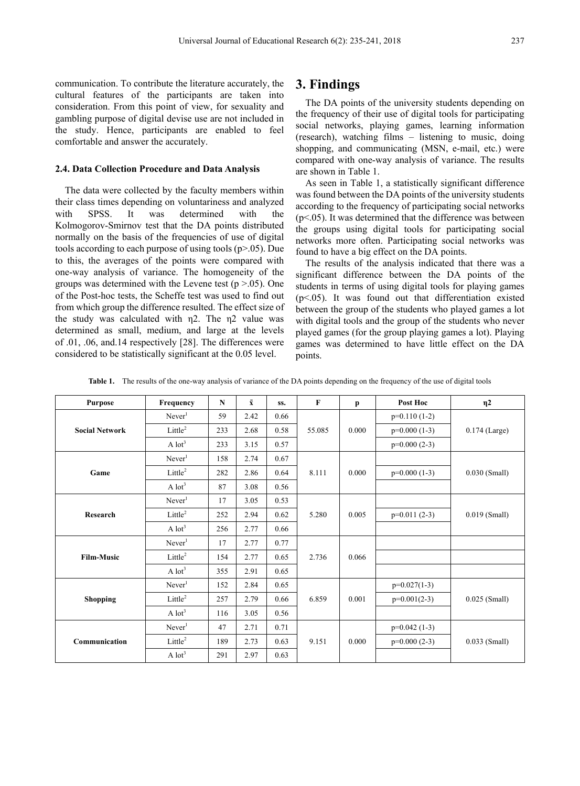communication. To contribute the literature accurately, the cultural features of the participants are taken into consideration. From this point of view, for sexuality and gambling purpose of digital devise use are not included in the study. Hence, participants are enabled to feel comfortable and answer the accurately.

#### **2.4. Data Collection Procedure and Data Analysis**

The data were collected by the faculty members within their class times depending on voluntariness and analyzed with SPSS. It was determined with the Kolmogorov-Smirnov test that the DA points distributed normally on the basis of the frequencies of use of digital tools according to each purpose of using tools (p>.05). Due to this, the averages of the points were compared with one-way analysis of variance. The homogeneity of the groups was determined with the Levene test  $(p > .05)$ . One of the Post-hoc tests, the Scheffe test was used to find out from which group the difference resulted. The effect size of the study was calculated with η2. The η2 value was determined as small, medium, and large at the levels of .01, .06, and.14 respectively [28]. The differences were considered to be statistically significant at the 0.05 level.

## **3. Findings**

The DA points of the university students depending on the frequency of their use of digital tools for participating social networks, playing games, learning information (research), watching films – listening to music, doing shopping, and communicating (MSN, e-mail, etc.) were compared with one-way analysis of variance. The results are shown in Table 1.

As seen in Table 1, a statistically significant difference was found between the DA points of the university students according to the frequency of participating social networks  $(p<.05)$ . It was determined that the difference was between the groups using digital tools for participating social networks more often. Participating social networks was found to have a big effect on the DA points.

The results of the analysis indicated that there was a significant difference between the DA points of the students in terms of using digital tools for playing games  $(p<.05)$ . It was found out that differentiation existed between the group of the students who played games a lot with digital tools and the group of the students who never played games (for the group playing games a lot). Playing games was determined to have little effect on the DA points.

| <b>Purpose</b>        | Frequency            | N   | $\bar{\mathbf{x}}$ | SS.  | $\bf F$ | p     | Post Hoc       | $\eta$ 2        |
|-----------------------|----------------------|-----|--------------------|------|---------|-------|----------------|-----------------|
| <b>Social Network</b> | Never <sup>1</sup>   | 59  | 2.42               | 0.66 | 55.085  | 0.000 | $p=0.110(1-2)$ | $0.174$ (Large) |
|                       | Little <sup>2</sup>  | 233 | 2.68               | 0.58 |         |       | $p=0.000(1-3)$ |                 |
|                       | $A$ lot <sup>3</sup> | 233 | 3.15               | 0.57 |         |       | $p=0.000(2-3)$ |                 |
| Game                  | Never <sup>1</sup>   | 158 | 2.74               | 0.67 | 8.111   | 0.000 |                | $0.030$ (Small) |
|                       | Little <sup>2</sup>  | 282 | 2.86               | 0.64 |         |       | $p=0.000(1-3)$ |                 |
|                       | $A$ lot <sup>3</sup> | 87  | 3.08               | 0.56 |         |       |                |                 |
| Research              | Never <sup>1</sup>   | 17  | 3.05               | 0.53 | 5.280   | 0.005 |                | $0.019$ (Small) |
|                       | Little <sup>2</sup>  | 252 | 2.94               | 0.62 |         |       | $p=0.011(2-3)$ |                 |
|                       | $A$ lot <sup>3</sup> | 256 | 2.77               | 0.66 |         |       |                |                 |
| <b>Film-Music</b>     | Never <sup>1</sup>   | 17  | 2.77               | 0.77 | 2.736   | 0.066 |                |                 |
|                       | Little <sup>2</sup>  | 154 | 2.77               | 0.65 |         |       |                |                 |
|                       | $A$ lot <sup>3</sup> | 355 | 2.91               | 0.65 |         |       |                |                 |
| <b>Shopping</b>       | Never <sup>1</sup>   | 152 | 2.84               | 0.65 | 6.859   | 0.001 | $p=0.027(1-3)$ | $0.025$ (Small) |
|                       | Little <sup>2</sup>  | 257 | 2.79               | 0.66 |         |       | $p=0.001(2-3)$ |                 |
|                       | $A$ lot <sup>3</sup> | 116 | 3.05               | 0.56 |         |       |                |                 |
| Communication         | Never <sup>1</sup>   | 47  | 2.71               | 0.71 | 9.151   | 0.000 | $p=0.042(1-3)$ | $0.033$ (Small) |
|                       | Little <sup>2</sup>  | 189 | 2.73               | 0.63 |         |       | $p=0.000(2-3)$ |                 |
|                       | $A$ lot <sup>3</sup> | 291 | 2.97               | 0.63 |         |       |                |                 |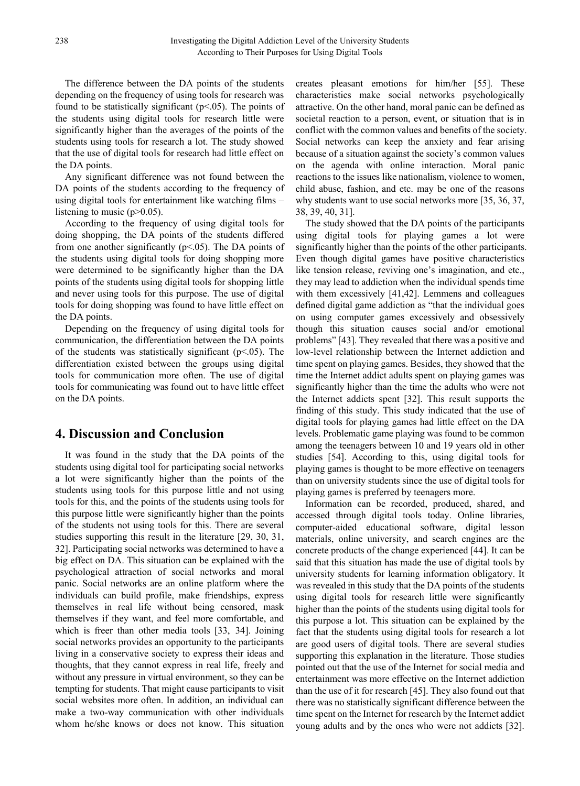The difference between the DA points of the students depending on the frequency of using tools for research was found to be statistically significant ( $p<05$ ). The points of the students using digital tools for research little were significantly higher than the averages of the points of the students using tools for research a lot. The study showed that the use of digital tools for research had little effect on the DA points.

Any significant difference was not found between the DA points of the students according to the frequency of using digital tools for entertainment like watching films – listening to music  $(p>0.05)$ .

According to the frequency of using digital tools for doing shopping, the DA points of the students differed from one another significantly ( $p<05$ ). The DA points of the students using digital tools for doing shopping more were determined to be significantly higher than the DA points of the students using digital tools for shopping little and never using tools for this purpose. The use of digital tools for doing shopping was found to have little effect on the DA points.

Depending on the frequency of using digital tools for communication, the differentiation between the DA points of the students was statistically significant ( $p$ <.05). The differentiation existed between the groups using digital tools for communication more often. The use of digital tools for communicating was found out to have little effect on the DA points.

## **4. Discussion and Conclusion**

It was found in the study that the DA points of the students using digital tool for participating social networks a lot were significantly higher than the points of the students using tools for this purpose little and not using tools for this, and the points of the students using tools for this purpose little were significantly higher than the points of the students not using tools for this. There are several studies supporting this result in the literature [29, 30, 31, 32]. Participating social networks was determined to have a big effect on DA. This situation can be explained with the psychological attraction of social networks and moral panic. Social networks are an online platform where the individuals can build profile, make friendships, express themselves in real life without being censored, mask themselves if they want, and feel more comfortable, and which is freer than other media tools [33, 34]. Joining social networks provides an opportunity to the participants living in a conservative society to express their ideas and thoughts, that they cannot express in real life, freely and without any pressure in virtual environment, so they can be tempting for students. That might cause participants to visit social websites more often. In addition, an individual can make a two-way communication with other individuals whom he/she knows or does not know. This situation

creates pleasant emotions for him/her [55]. These characteristics make social networks psychologically attractive. On the other hand, moral panic can be defined as societal reaction to a person, event, or situation that is in conflict with the common values and benefits of the society. Social networks can keep the anxiety and fear arising because of a situation against the society's common values on the agenda with online interaction. Moral panic reactions to the issues like nationalism, violence to women, child abuse, fashion, and etc. may be one of the reasons why students want to use social networks more [35, 36, 37, 38, 39, 40, 31].

The study showed that the DA points of the participants using digital tools for playing games a lot were significantly higher than the points of the other participants. Even though digital games have positive characteristics like tension release, reviving one's imagination, and etc., they may lead to addiction when the individual spends time with them excessively [41,42]. Lemmens and colleagues defined digital game addiction as "that the individual goes on using computer games excessively and obsessively though this situation causes social and/or emotional problems" [43]. They revealed that there was a positive and low-level relationship between the Internet addiction and time spent on playing games. Besides, they showed that the time the Internet addict adults spent on playing games was significantly higher than the time the adults who were not the Internet addicts spent [32]. This result supports the finding of this study. This study indicated that the use of digital tools for playing games had little effect on the DA levels. Problematic game playing was found to be common among the teenagers between 10 and 19 years old in other studies [54]. According to this, using digital tools for playing games is thought to be more effective on teenagers than on university students since the use of digital tools for playing games is preferred by teenagers more.

Information can be recorded, produced, shared, and accessed through digital tools today. Online libraries, computer-aided educational software, digital lesson materials, online university, and search engines are the concrete products of the change experienced [44]. It can be said that this situation has made the use of digital tools by university students for learning information obligatory. It was revealed in this study that the DA points of the students using digital tools for research little were significantly higher than the points of the students using digital tools for this purpose a lot. This situation can be explained by the fact that the students using digital tools for research a lot are good users of digital tools. There are several studies supporting this explanation in the literature. Those studies pointed out that the use of the Internet for social media and entertainment was more effective on the Internet addiction than the use of it for research [45]. They also found out that there was no statistically significant difference between the time spent on the Internet for research by the Internet addict young adults and by the ones who were not addicts [32].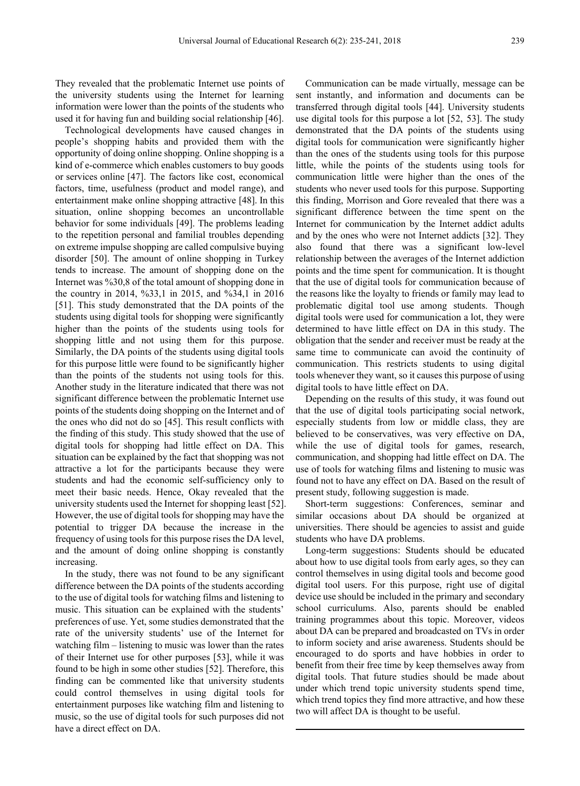They revealed that the problematic Internet use points of the university students using the Internet for learning information were lower than the points of the students who used it for having fun and building social relationship [46].

Technological developments have caused changes in people's shopping habits and provided them with the opportunity of doing online shopping. Online shopping is a kind of e-commerce which enables customers to buy goods or services online [47]. The factors like cost, economical factors, time, usefulness (product and model range), and entertainment make online shopping attractive [48]. In this situation, online shopping becomes an uncontrollable behavior for some individuals [49]. The problems leading to the repetition personal and familial troubles depending on extreme impulse shopping are called compulsive buying disorder [50]. The amount of online shopping in Turkey tends to increase. The amount of shopping done on the Internet was %30,8 of the total amount of shopping done in the country in 2014, %33,1 in 2015, and %34,1 in 2016 [51]. This study demonstrated that the DA points of the students using digital tools for shopping were significantly higher than the points of the students using tools for shopping little and not using them for this purpose. Similarly, the DA points of the students using digital tools for this purpose little were found to be significantly higher than the points of the students not using tools for this. Another study in the literature indicated that there was not significant difference between the problematic Internet use points of the students doing shopping on the Internet and of the ones who did not do so [45]. This result conflicts with the finding of this study. This study showed that the use of digital tools for shopping had little effect on DA. This situation can be explained by the fact that shopping was not attractive a lot for the participants because they were students and had the economic self-sufficiency only to meet their basic needs. Hence, Okay revealed that the university students used the Internet for shopping least [52]. However, the use of digital tools for shopping may have the potential to trigger DA because the increase in the frequency of using tools for this purpose rises the DA level, and the amount of doing online shopping is constantly increasing.

In the study, there was not found to be any significant difference between the DA points of the students according to the use of digital tools for watching films and listening to music. This situation can be explained with the students' preferences of use. Yet, some studies demonstrated that the rate of the university students' use of the Internet for watching film – listening to music was lower than the rates of their Internet use for other purposes [53], while it was found to be high in some other studies [52]. Therefore, this finding can be commented like that university students could control themselves in using digital tools for entertainment purposes like watching film and listening to music, so the use of digital tools for such purposes did not have a direct effect on DA.

Communication can be made virtually, message can be sent instantly, and information and documents can be transferred through digital tools [44]. University students use digital tools for this purpose a lot [52, 53]. The study demonstrated that the DA points of the students using digital tools for communication were significantly higher than the ones of the students using tools for this purpose little, while the points of the students using tools for communication little were higher than the ones of the students who never used tools for this purpose. Supporting this finding, Morrison and Gore revealed that there was a significant difference between the time spent on the Internet for communication by the Internet addict adults and by the ones who were not Internet addicts [32]. They also found that there was a significant low-level relationship between the averages of the Internet addiction points and the time spent for communication. It is thought that the use of digital tools for communication because of the reasons like the loyalty to friends or family may lead to problematic digital tool use among students. Though digital tools were used for communication a lot, they were determined to have little effect on DA in this study. The obligation that the sender and receiver must be ready at the same time to communicate can avoid the continuity of communication. This restricts students to using digital tools whenever they want, so it causes this purpose of using digital tools to have little effect on DA.

Depending on the results of this study, it was found out that the use of digital tools participating social network, especially students from low or middle class, they are believed to be conservatives, was very effective on DA, while the use of digital tools for games, research, communication, and shopping had little effect on DA. The use of tools for watching films and listening to music was found not to have any effect on DA. Based on the result of present study, following suggestion is made.

Short-term suggestions: Conferences, seminar and similar occasions about DA should be organized at universities. There should be agencies to assist and guide students who have DA problems.

Long-term suggestions: Students should be educated about how to use digital tools from early ages, so they can control themselves in using digital tools and become good digital tool users. For this purpose, right use of digital device use should be included in the primary and secondary school curriculums. Also, parents should be enabled training programmes about this topic. Moreover, videos about DA can be prepared and broadcasted on TVs in order to inform society and arise awareness. Students should be encouraged to do sports and have hobbies in order to benefit from their free time by keep themselves away from digital tools. That future studies should be made about under which trend topic university students spend time, which trend topics they find more attractive, and how these two will affect DA is thought to be useful.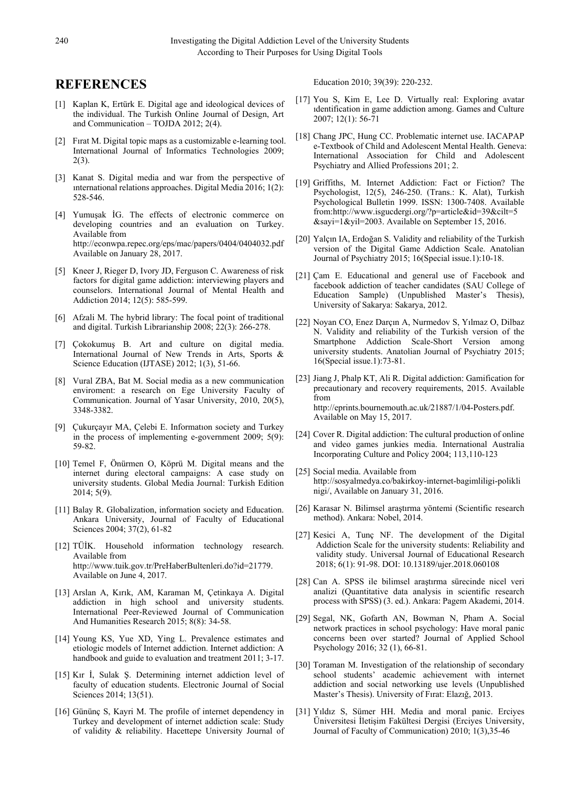## **REFERENCES**

- [1] Kaplan K, Ertürk E. Digital age and ideological devices of the individual. The Turkish Online Journal of Design, Art and Communication – TOJDA 2012; 2(4).
- [2] Fırat M. Digital topic maps as a customizable e-learning tool. International Journal of Informatics Technologies 2009; 2(3).
- [3] Kanat S. Digital media and war from the perspective of ınternational relations approaches. Digital Media 2016; 1(2): 528-546.
- [4] Yumuşak İG. The effects of electronic commerce on developing countries and an evaluation on Turkey. Available from http://econwpa.repec.org/eps/mac/papers/0404/0404032.pdf Available on January 28, 2017.
- [5] Kneer J, Rieger D, Ivory JD, Ferguson C. Awareness of risk factors for digital game addiction: interviewing players and counselors. International Journal of Mental Health and Addiction 2014; 12(5): 585-599.
- [6] Afzali M. The hybrid library: The focal point of traditional and digital. Turkish Librarianship 2008; 22(3): 266-278.
- [7] Çokokumuş B. Art and culture on digital media. International Journal of New Trends in Arts, Sports & Science Education (IJTASE) 2012; 1(3), 51-66.
- [8] Vural ZBA, Bat M. Social media as a new communication enviroment: a research on Ege University Faculty of Communication. Journal of Yasar University, 2010, 20(5), 3348-3382.
- [9] Çukurçayır MA, Çelebi E. Informatıon society and Turkey in the process of implementing e-government 2009; 5(9): 59-82.
- [10] Temel F, Önürmen O, Köprü M. Digital means and the internet during electoral campaigns: A case study on university students. Global Media Journal: Turkish Edition 2014; 5(9).
- [11] Balay R. Globalization, information society and Education. Ankara University, Journal of Faculty of Educational Sciences 2004; 37(2), 61-82
- [12] TÜİK. Household information technology research. Available from http://www.tuik.gov.tr/PreHaberBultenleri.do?id=21779. Available on June 4, 2017.
- [13] Arslan A, Kırık, AM, Karaman M, Çetinkaya A. Digital addiction in high school and university students. International Peer-Reviewed Journal of Communication And Humanities Research 2015; 8(8): 34-58.
- [14] Young KS, Yue XD, Ying L. Prevalence estimates and etiologic models of Internet addiction. Internet addiction: A handbook and guide to evaluation and treatment 2011; 3-17.
- [15] Kır İ, Sulak Ş. Determining internet addiction level of faculty of education students. Electronic Journal of Social Sciences 2014; 13(51).
- [16] Gününç S, Kayri M. The profile of internet dependency in Turkey and development of internet addiction scale: Study of validity & reliability. Hacettepe University Journal of

Education 2010; 39(39): 220-232.

- [17] You S, Kim E, Lee D. Virtually real: Exploring avatar ıdentification in game addiction among. Games and Culture 2007; 12(1): 56-71
- [18] Chang JPC, Hung CC. Problematic internet use. IACAPAP e-Textbook of Child and Adolescent Mental Health. Geneva: International Association for Child and Adolescent Psychiatry and Allied Professions 201; 2.
- [19] Griffiths, M. Internet Addiction: Fact or Fiction? The Psychologist, 12(5), 246-250. (Trans.: K. Alat), Turkish Psychological Bulletin 1999. ISSN: 1300-7408. Available from:http://www.isgucdergi.org/?p=article&id=39&cilt=5 &sayi=1&yil=2003. Available on September 15, 2016.
- [20] Yalçın IA, Erdoğan S. Validity and reliability of the Turkish version of the Digital Game Addiction Scale. Anatolian Journal of Psychiatry 2015; 16(Special issue.1):10-18.
- [21] Çam E. Educational and general use of Facebook and facebook addiction of teacher candidates (SAU College of Education Sample) (Unpublished Master's Thesis), University of Sakarya: Sakarya, 2012.
- [22] Noyan CO, Enez Darçın A, Nurmedov S, Yılmaz O, Dilbaz N. Validity and reliability of the Turkish version of the Smartphone Addiction Scale-Short Version among university students. Anatolian Journal of Psychiatry 2015; 16(Special issue.1):73-81.
- [23] Jiang J, Phalp KT, Ali R. Digital addiction: Gamification for precautionary and recovery requirements, 2015. Available from http://eprints.bournemouth.ac.uk/21887/1/04-Posters.pdf. Available on May 15, 2017.
- [24] Cover R. Digital addiction: The cultural production of online and video games junkies media. International Australia Incorporating Culture and Policy 2004; 113,110-123
- [25] Social media. Available from http://sosyalmedya.co/bakirkoy-internet-bagimliligi-polikli nigi/, Available on January 31, 2016.
- [26] Karasar N. Bilimsel araştırma yöntemi (Scientific research method). Ankara: Nobel, 2014.
- [27] Kesici A, Tunç NF. The development of the Digital Addiction Scale for the university students: Reliability and validity study. Universal Journal of Educational Research 2018; 6(1): 91-98. DOI: 10.13189/ujer.2018.060108
- [28] Can A. SPSS ile bilimsel araştırma sürecinde nicel veri analizi (Quantitative data analysis in scientific research process with SPSS) (3. ed.). Ankara: Pagem Akademi, 2014.
- [29] Segal, NK, Gofarth AN, Bowman N, Pham A. Social network practices in school psychology: Have moral panic concerns been over started? Journal of Applied School Psychology 2016; 32 (1), 66-81.
- [30] Toraman M. Investigation of the relationship of secondary school students' academic achievement with internet addiction and social networking use levels (Unpublished Master's Thesis). University of Fırat: Elazığ, 2013.
- [31] Yıldız S, Sümer HH. Media and moral panic. Erciyes Üniversitesi İletişim Fakültesi Dergisi (Erciyes University, Journal of Faculty of Communication) 2010; 1(3),35-46